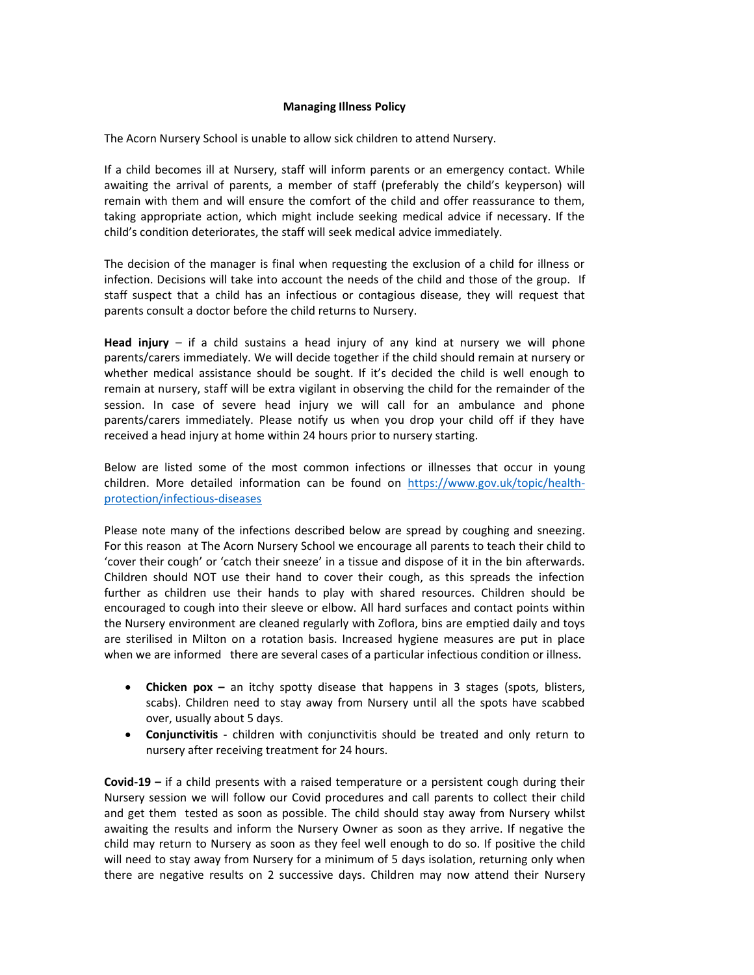## **Managing Illness Policy**

The Acorn Nursery School is unable to allow sick children to attend Nursery.

If a child becomes ill at Nursery, staff will inform parents or an emergency contact. While awaiting the arrival of parents, a member of staff (preferably the child's keyperson) will remain with them and will ensure the comfort of the child and offer reassurance to them, taking appropriate action, which might include seeking medical advice if necessary. If the child's condition deteriorates, the staff will seek medical advice immediately.

The decision of the manager is final when requesting the exclusion of a child for illness or infection. Decisions will take into account the needs of the child and those of the group. If staff suspect that a child has an infectious or contagious disease, they will request that parents consult a doctor before the child returns to Nursery.

**Head injury** – if a child sustains a head injury of any kind at nursery we will phone parents/carers immediately. We will decide together if the child should remain at nursery or whether medical assistance should be sought. If it's decided the child is well enough to remain at nursery, staff will be extra vigilant in observing the child for the remainder of the session. In case of severe head injury we will call for an ambulance and phone parents/carers immediately. Please notify us when you drop your child off if they have received a head injury at home within 24 hours prior to nursery starting.

Below are listed some of the most common infections or illnesses that occur in young children. More detailed information can be found on https://www.gov.uk/topic/healthprotection/infectious-diseases

Please note many of the infections described below are spread by coughing and sneezing. For this reason at The Acorn Nursery School we encourage all parents to teach their child to 'cover their cough' or 'catch their sneeze' in a tissue and dispose of it in the bin afterwards. Children should NOT use their hand to cover their cough, as this spreads the infection further as children use their hands to play with shared resources. Children should be encouraged to cough into their sleeve or elbow. All hard surfaces and contact points within the Nursery environment are cleaned regularly with Zoflora, bins are emptied daily and toys are sterilised in Milton on a rotation basis. Increased hygiene measures are put in place when we are informed there are several cases of a particular infectious condition or illness.

- **Chicken pox –** an itchy spotty disease that happens in 3 stages (spots, blisters, scabs). Children need to stay away from Nursery until all the spots have scabbed over, usually about 5 days.
- **Conjunctivitis**  children with conjunctivitis should be treated and only return to nursery after receiving treatment for 24 hours.

**Covid-19 –** if a child presents with a raised temperature or a persistent cough during their Nursery session we will follow our Covid procedures and call parents to collect their child and get them tested as soon as possible. The child should stay away from Nursery whilst awaiting the results and inform the Nursery Owner as soon as they arrive. If negative the child may return to Nursery as soon as they feel well enough to do so. If positive the child will need to stay away from Nursery for a minimum of 5 days isolation, returning only when there are negative results on 2 successive days. Children may now attend their Nursery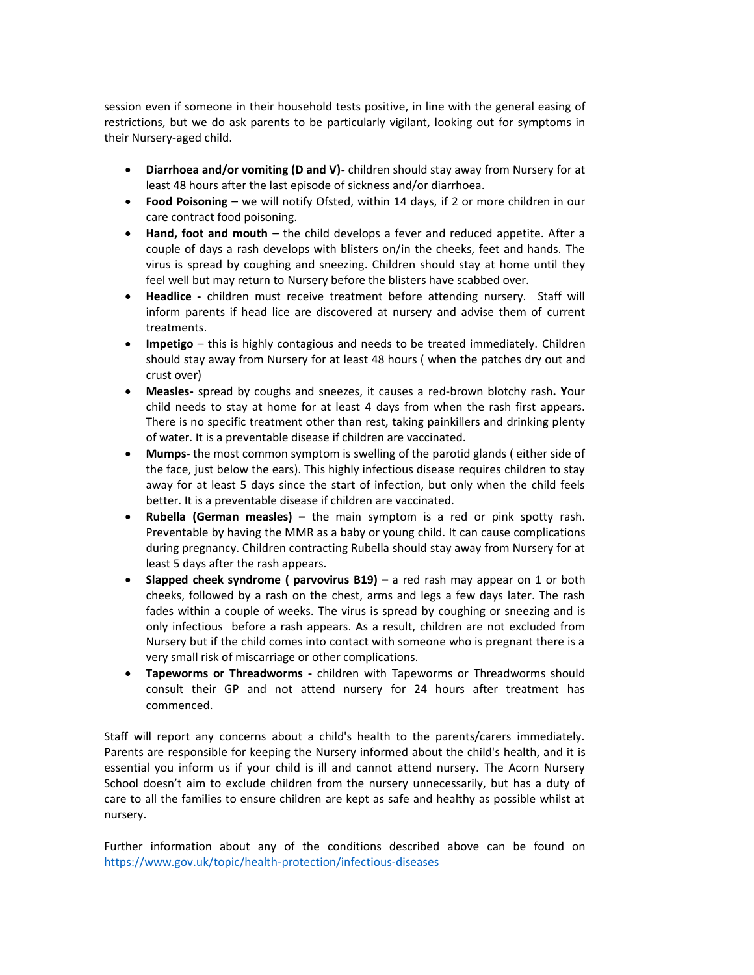session even if someone in their household tests positive, in line with the general easing of restrictions, but we do ask parents to be particularly vigilant, looking out for symptoms in their Nursery-aged child.

- **Diarrhoea and/or vomiting (D and V)-** children should stay away from Nursery for at least 48 hours after the last episode of sickness and/or diarrhoea.
- **Food Poisoning**  we will notify Ofsted, within 14 days, if 2 or more children in our care contract food poisoning.
- **Hand, foot and mouth**  the child develops a fever and reduced appetite. After a couple of days a rash develops with blisters on/in the cheeks, feet and hands. The virus is spread by coughing and sneezing. Children should stay at home until they feel well but may return to Nursery before the blisters have scabbed over.
- **Headlice -** children must receive treatment before attending nursery. Staff will inform parents if head lice are discovered at nursery and advise them of current treatments.
- **Impetigo**  this is highly contagious and needs to be treated immediately. Children should stay away from Nursery for at least 48 hours ( when the patches dry out and crust over)
- **Measles-** spread by coughs and sneezes, it causes a red-brown blotchy rash**. Y**our child needs to stay at home for at least 4 days from when the rash first appears. There is no specific treatment other than rest, taking painkillers and drinking plenty of water. It is a preventable disease if children are vaccinated.
- **Mumps-** the most common symptom is swelling of the parotid glands ( either side of the face, just below the ears). This highly infectious disease requires children to stay away for at least 5 days since the start of infection, but only when the child feels better. It is a preventable disease if children are vaccinated.
- **Rubella (German measles) –** the main symptom is a red or pink spotty rash. Preventable by having the MMR as a baby or young child. It can cause complications during pregnancy. Children contracting Rubella should stay away from Nursery for at least 5 days after the rash appears.
- **Slapped cheek syndrome ( parvovirus B19) –** a red rash may appear on 1 or both cheeks, followed by a rash on the chest, arms and legs a few days later. The rash fades within a couple of weeks. The virus is spread by coughing or sneezing and is only infectious before a rash appears. As a result, children are not excluded from Nursery but if the child comes into contact with someone who is pregnant there is a very small risk of miscarriage or other complications.
- **Tapeworms or Threadworms -** children with Tapeworms or Threadworms should consult their GP and not attend nursery for 24 hours after treatment has commenced.

Staff will report any concerns about a child's health to the parents/carers immediately. Parents are responsible for keeping the Nursery informed about the child's health, and it is essential you inform us if your child is ill and cannot attend nursery. The Acorn Nursery School doesn't aim to exclude children from the nursery unnecessarily, but has a duty of care to all the families to ensure children are kept as safe and healthy as possible whilst at nursery.

Further information about any of the conditions described above can be found on https://www.gov.uk/topic/health-protection/infectious-diseases